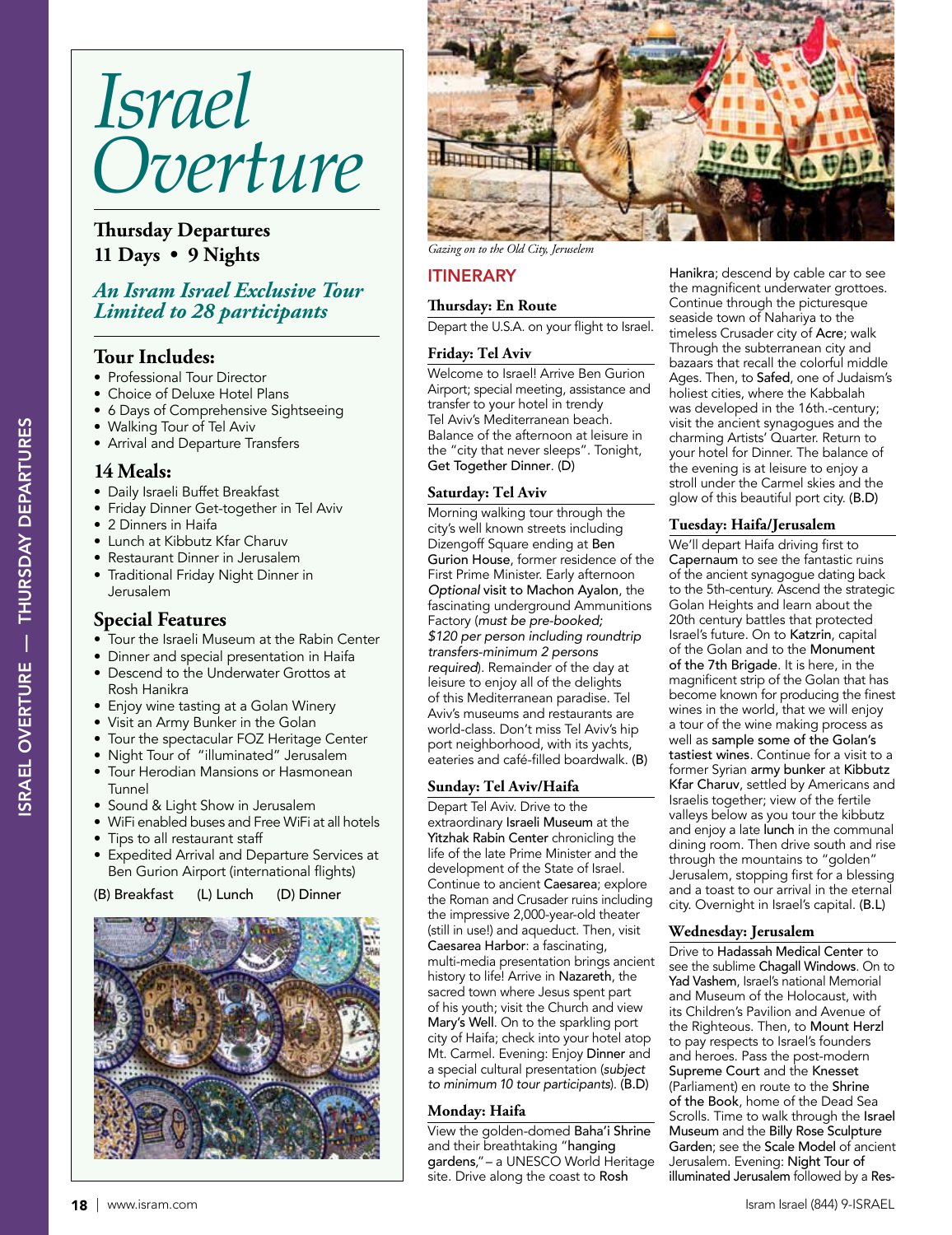# *Israel Overture*

# **Thursday Departures 11 Days • 9 Nights**

# *An Isram Israel Exclusive Tour Limited to 28 participants*

## **Tour Includes:**

- Professional Tour Director
- Choice of Deluxe Hotel Plans
- 6 Days of Comprehensive Sightseeing
- Walking Tour of Tel Aviv
- Arrival and Departure Transfers

## **14 Meals:**

- Daily Israeli Buffet Breakfast<br>• Friday Dinner Get-together i
- Friday Dinner Get-together in Tel Aviv
- 2 Dinners in Haifa
- Lunch at Kibbutz Kfar Charuv
- Restaurant Dinner in Jerusalem
- Traditional Friday Night Dinner in Jerusalem

# **Special Features**

- Tour the Israeli Museum at the Rabin Center
- Dinner and special presentation in Haifa
- Descend to the Underwater Grottos at Rosh Hanikra
- Enjoy wine tasting at a Golan Winery
- Visit an Army Bunker in the Golan
- Tour the spectacular FOZ Heritage Center
- Night Tour of "illuminated" Jerusalem
- Tour Herodian Mansions or Hasmonean Tunnel
- Sound & Light Show in Jerusalem
- WiFi enabled buses and Free WiFi at all hotels
- Tips to all restaurant staff
- Expedited Arrival and Departure Services at Ben Gurion Airport (international flights)

(B) Breakfast (L) Lunch (D) Dinner





*Gazing on to the Old City, Jeruselem*

# ITINERARY

## **Thursday: En Route**

Depart the U.S.A. on your flight to Israel.

## **Friday: Tel Aviv**

Welcome to Israel! Arrive Ben Gurion Airport; special meeting, assistance and transfer to your hotel in trendy Tel Aviv's Mediterranean beach. Balance of the afternoon at leisure in the "city that never sleeps". Tonight, Get Together Dinner. (D)

## **Saturday: Tel Aviv**

Morning walking tour through the city's well known streets including Dizengoff Square ending at Ben Gurion House, former residence of the First Prime Minister. Early afternoon Optional visit to Machon Ayalon, the fascinating underground Ammunitions Factory (must be pre-booked; \$120 per person including roundtrip transfers-minimum 2 persons required). Remainder of the day at leisure to enjoy all of the delights of this Mediterranean paradise. Tel Aviv's museums and restaurants are world-class. Don't miss Tel Aviv's hip port neighborhood, with its yachts, eateries and café-filled boardwalk. (B)

#### **Sunday: Tel Aviv/Haifa**

Depart Tel Aviv. Drive to the extraordinary Israeli Museum at the Yitzhak Rabin Center chronicling the life of the late Prime Minister and the development of the State of Israel. Continue to ancient Caesarea; explore the Roman and Crusader ruins including the impressive 2,000-year-old theater (still in use!) and aqueduct. Then, visit Caesarea Harbor: a fascinating, multi-media presentation brings ancient history to life! Arrive in Nazareth, the sacred town where Jesus spent part of his youth; visit the Church and view Mary's Well. On to the sparkling port city of Haifa; check into your hotel atop Mt. Carmel. Evening: Enjoy Dinner and a special cultural presentation (subject to minimum 10 tour participants). (B.D)

#### **Monday: Haifa**

View the golden-domed Baha'i Shrine and their breathtaking "hanging gardens,"– a UNESCO World Heritage site. Drive along the coast to Rosh

Hanikra; descend by cable car to see the magnificent underwater grottoes. Continue through the picturesque seaside town of Nahariya to the timeless Crusader city of Acre; walk Through the subterranean city and bazaars that recall the colorful middle Ages. Then, to Safed, one of Judaism's holiest cities, where the Kabbalah was developed in the 16th.-century; visit the ancient synagogues and the charming Artists' Quarter. Return to your hotel for Dinner. The balance of the evening is at leisure to enjoy a stroll under the Carmel skies and the glow of this beautiful port city. (B.D)

## **Tuesday: Haifa/Jerusalem**

We'll depart Haifa driving first to Capernaum to see the fantastic ruins of the ancient synagogue dating back to the 5th-century. Ascend the strategic Golan Heights and learn about the 20th century battles that protected Israel's future. On to Katzrin, capital of the Golan and to the Monument of the 7th Brigade. It is here, in the magnificent strip of the Golan that has become known for producing the finest wines in the world, that we will enjoy a tour of the wine making process as well as sample some of the Golan's tastiest wines. Continue for a visit to a former Syrian army bunker at Kibbutz Kfar Charuv, settled by Americans and Israelis together; view of the fertile valleys below as you tour the kibbutz and enjoy a late lunch in the communal dining room. Then drive south and rise through the mountains to "golden" Jerusalem, stopping first for a blessing and a toast to our arrival in the eternal city. Overnight in Israel's capital. (B.L)

#### **Wednesday: Jerusalem**

Drive to Hadassah Medical Center to see the sublime Chagall Windows. On to Yad Vashem, Israel's national Memorial and Museum of the Holocaust, with its Children's Pavilion and Avenue of the Righteous. Then, to Mount Herzl to pay respects to Israel's founders and heroes. Pass the post-modern Supreme Court and the Knesset (Parliament) en route to the Shrine of the Book, home of the Dead Sea Scrolls. Time to walk through the Israel Museum and the Billy Rose Sculpture Garden; see the Scale Model of ancient Jerusalem. Evening: Night Tour of illuminated Jerusalem followed by a Res